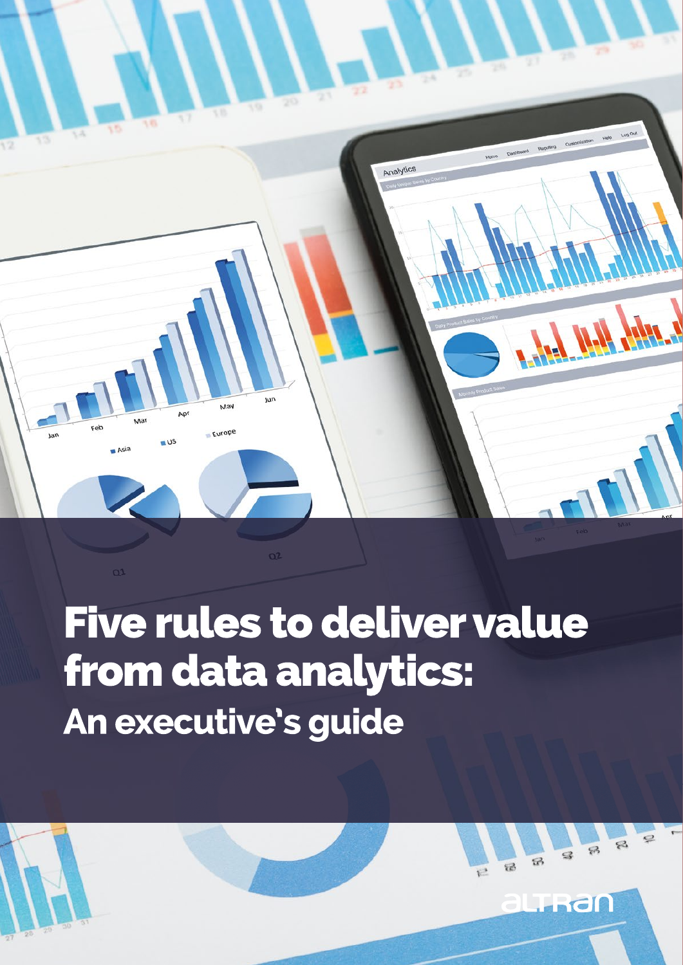

# **Five rules to deliver value** from data analytics: An executive's guide

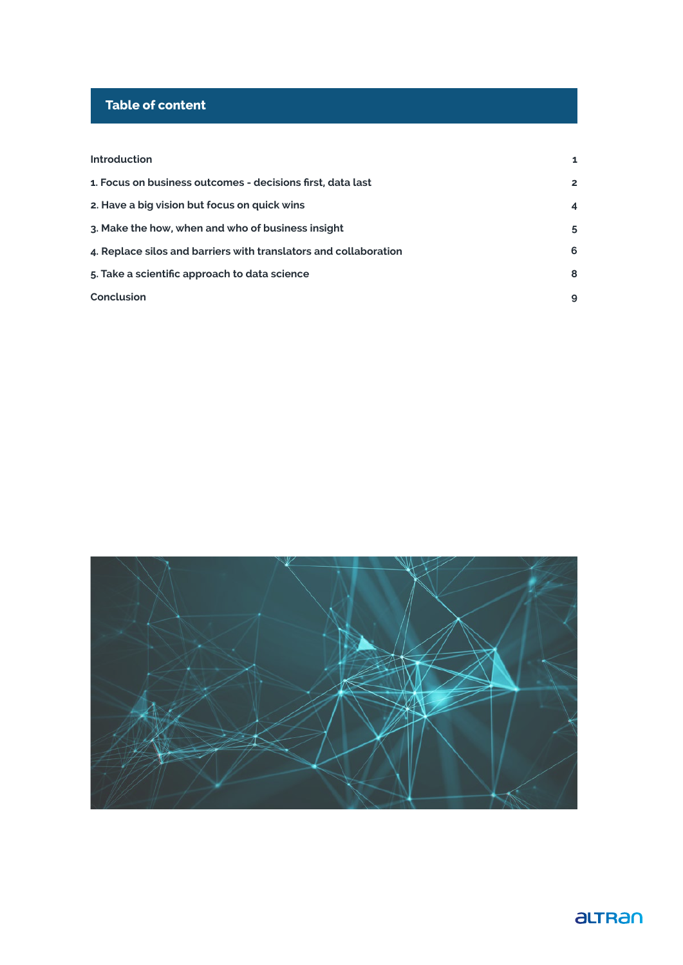# **Table of content**

| <b>Introduction</b>                                              | $\mathbf{1}$   |
|------------------------------------------------------------------|----------------|
| 1. Focus on business outcomes - decisions first, data last       | $\mathbf{2}$   |
| 2. Have a big vision but focus on quick wins                     | $\overline{4}$ |
| 3. Make the how, when and who of business insight                | 5              |
| 4. Replace silos and barriers with translators and collaboration | 6              |
| 5. Take a scientific approach to data science                    | 8              |
| Conclusion                                                       | 9              |
|                                                                  |                |



# aLTRan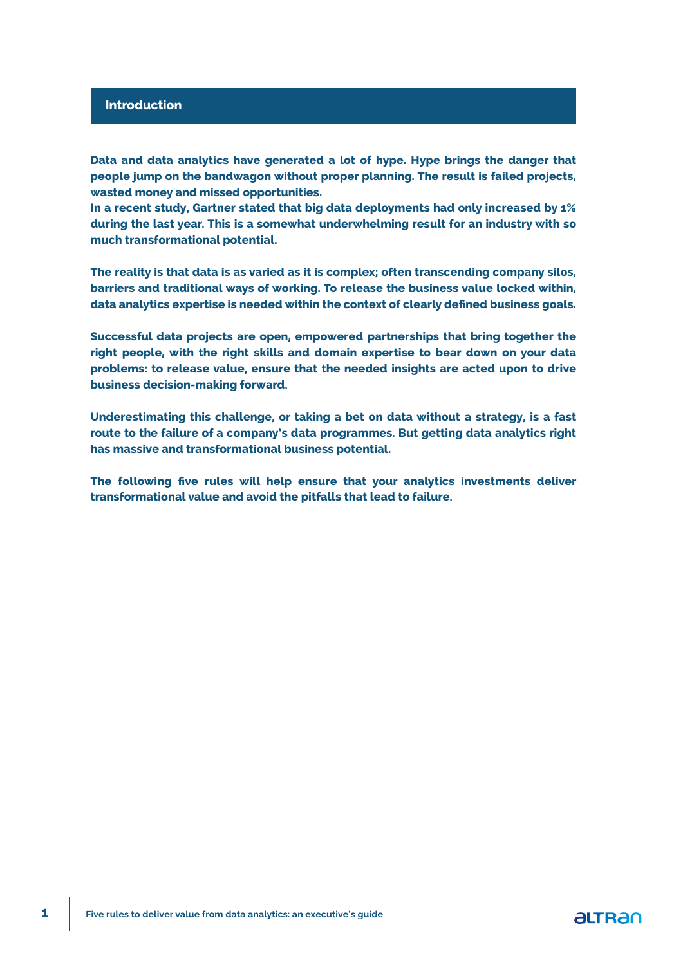#### **Introduction**

**Data and data analytics have generated a lot of hype. Hype brings the danger that people jump on the bandwagon without proper planning. The result is failed projects, wasted money and missed opportunities.**

**In a recent study, Gartner stated that big data deployments had only increased by 1% during the last year. This is a somewhat underwhelming result for an industry with so much transformational potential.**

**The reality is that data is as varied as it is complex; often transcending company silos, barriers and traditional ways of working. To release the business value locked within, data analytics expertise is needed within the context of clearly defined business goals.**

**Successful data projects are open, empowered partnerships that bring together the right people, with the right skills and domain expertise to bear down on your data problems: to release value, ensure that the needed insights are acted upon to drive business decision-making forward.**

**Underestimating this challenge, or taking a bet on data without a strategy, is a fast route to the failure of a company's data programmes. But getting data analytics right has massive and transformational business potential.**

**The following five rules will help ensure that your analytics investments deliver transformational value and avoid the pitfalls that lead to failure.**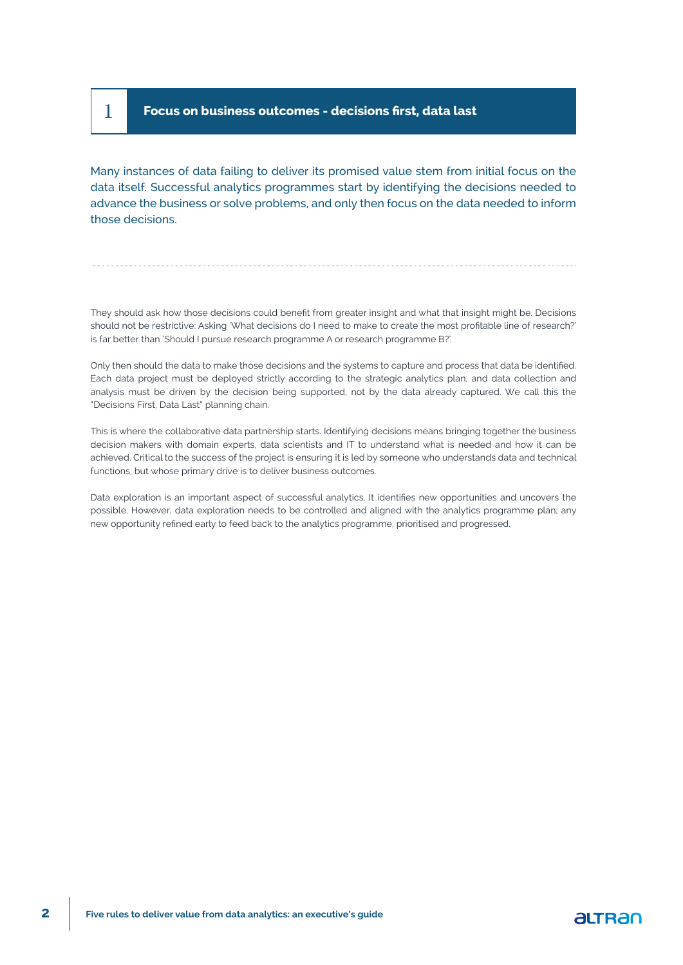## 1 **Focus on business outcomes - decisions first, data last**

Many instances of data failing to deliver its promised value stem from initial focus on the data itself. Successful analytics programmes start by identifying the decisions needed to advance the business or solve problems, and only then focus on the data needed to inform those decisions.

They should ask how those decisions could benefit from greater insight and what that insight might be. Decisions should not be restrictive: Asking 'What decisions do I need to make to create the most profitable line of research?' is far better than 'Should I pursue research programme A or research programme B?'.

Only then should the data to make those decisions and the systems to capture and process that data be identified. Each data project must be deployed strictly according to the strategic analytics plan, and data collection and analysis must be driven by the decision being supported, not by the data already captured. We call this the "Decisions First, Data Last" planning chain.

This is where the collaborative data partnership starts. Identifying decisions means bringing together the business decision makers with domain experts, data scientists and IT to understand what is needed and how it can be achieved. Critical to the success of the project is ensuring it is led by someone who understands data and technical functions, but whose primary drive is to deliver business outcomes.

Data exploration is an important aspect of successful analytics. It identifies new opportunities and uncovers the possible. However, data exploration needs to be controlled and aligned with the analytics programme plan; any new opportunity refined early to feed back to the analytics programme, prioritised and progressed.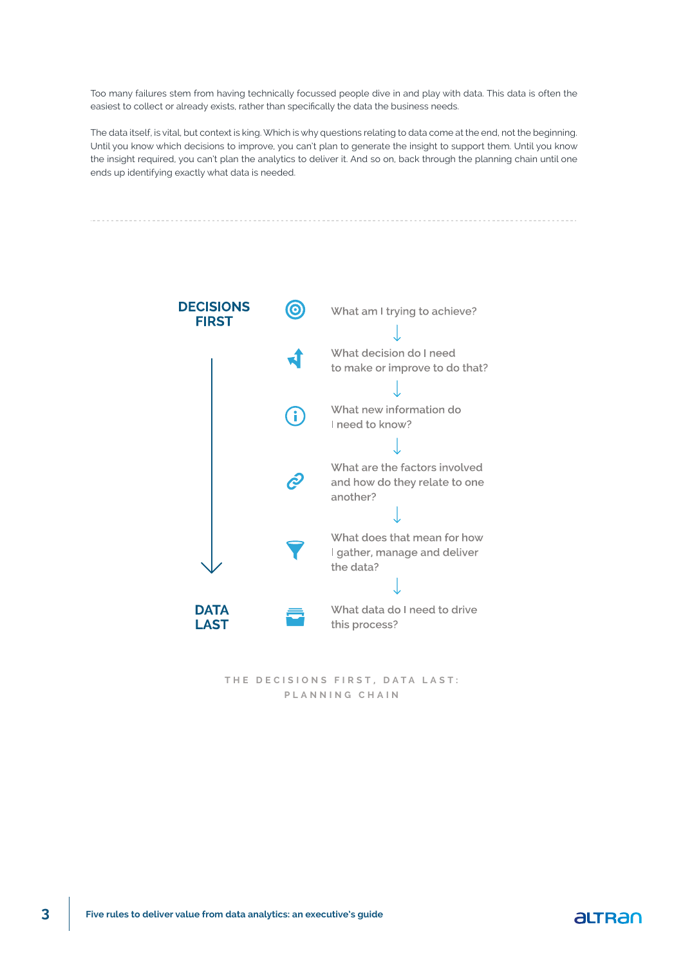Too many failures stem from having technically focussed people dive in and play with data. This data is often the easiest to collect or already exists, rather than specifically the data the business needs.

The data itself, is vital, but context is king. Which is why questions relating to data come at the end, not the beginning. Until you know which decisions to improve, you can't plan to generate the insight to support them. Until you know the insight required, you can't plan the analytics to deliver it. And so on, back through the planning chain until one ends up identifying exactly what data is needed.



THE DECISIONS FIRST, DATA LAST: **PLANNING CHAIN**

### altran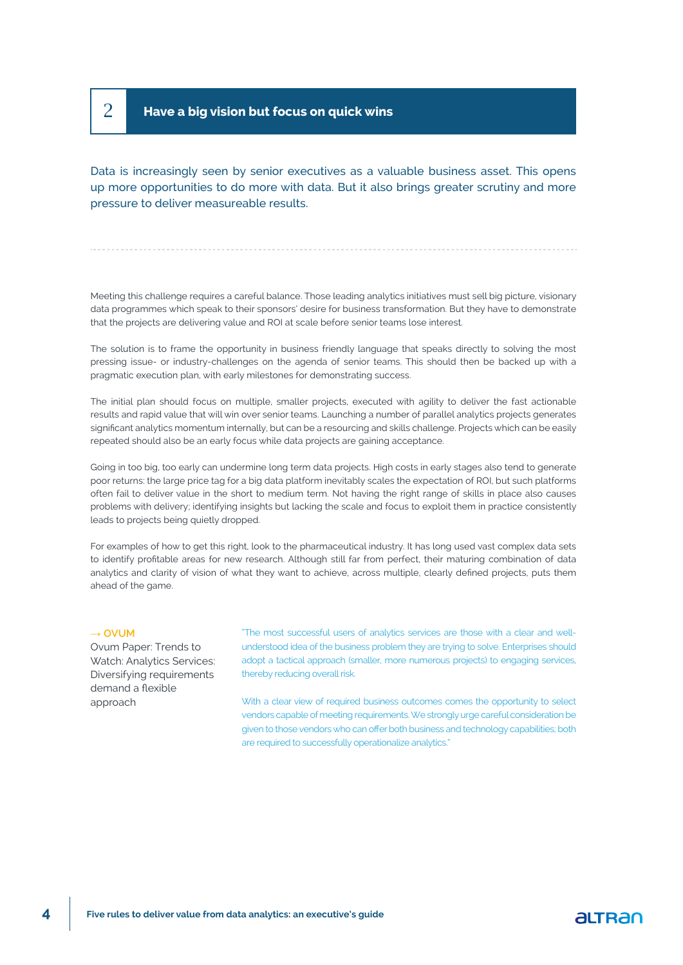# 2 **Have a big vision but focus on quick wins**

Data is increasingly seen by senior executives as a valuable business asset. This opens up more opportunities to do more with data. But it also brings greater scrutiny and more pressure to deliver measureable results.

Meeting this challenge requires a careful balance. Those leading analytics initiatives must sell big picture, visionary data programmes which speak to their sponsors' desire for business transformation. But they have to demonstrate that the projects are delivering value and ROI at scale before senior teams lose interest.

The solution is to frame the opportunity in business friendly language that speaks directly to solving the most pressing issue- or industry-challenges on the agenda of senior teams. This should then be backed up with a pragmatic execution plan, with early milestones for demonstrating success.

The initial plan should focus on multiple, smaller projects, executed with agility to deliver the fast actionable results and rapid value that will win over senior teams. Launching a number of parallel analytics projects generates significant analytics momentum internally, but can be a resourcing and skills challenge. Projects which can be easily repeated should also be an early focus while data projects are gaining acceptance.

Going in too big, too early can undermine long term data projects. High costs in early stages also tend to generate poor returns: the large price tag for a big data platform inevitably scales the expectation of ROI, but such platforms often fail to deliver value in the short to medium term. Not having the right range of skills in place also causes problems with delivery; identifying insights but lacking the scale and focus to exploit them in practice consistently leads to projects being quietly dropped.

For examples of how to get this right, look to the pharmaceutical industry. It has long used vast complex data sets to identify profitable areas for new research. Although still far from perfect, their maturing combination of data analytics and clarity of vision of what they want to achieve, across multiple, clearly defined projects, puts them ahead of the game.

#### **→ OVUM**

Ovum Paper: Trends to Watch: Analytics Services: Diversifying requirements demand a flexible approach

"The most successful users of analytics services are those with a clear and wellunderstood idea of the business problem they are trying to solve. Enterprises should adopt a tactical approach (smaller, more numerous projects) to engaging services, thereby reducing overall risk.

With a clear view of required business outcomes comes the opportunity to select vendors capable of meeting requirements. We strongly urge careful consideration be given to those vendors who can offer both business and technology capabilities; both are required to successfully operationalize analytics."

### altran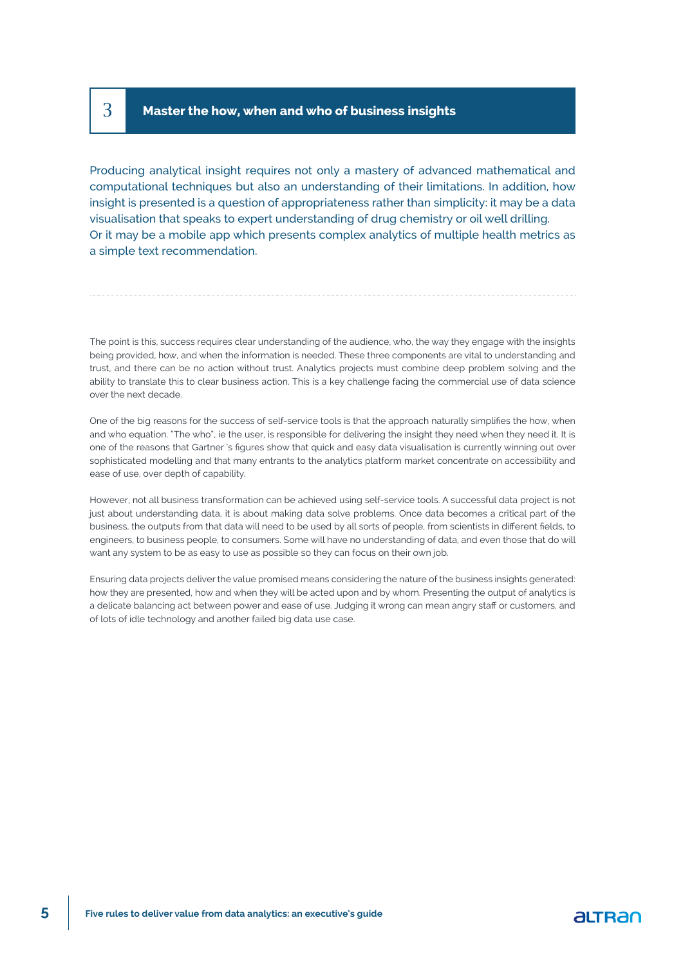## 3 **Master the how, when and who of business insights**

Producing analytical insight requires not only a mastery of advanced mathematical and computational techniques but also an understanding of their limitations. In addition, how insight is presented is a question of appropriateness rather than simplicity: it may be a data visualisation that speaks to expert understanding of drug chemistry or oil well drilling. Or it may be a mobile app which presents complex analytics of multiple health metrics as a simple text recommendation.

The point is this, success requires clear understanding of the audience, who, the way they engage with the insights being provided, how, and when the information is needed. These three components are vital to understanding and trust, and there can be no action without trust. Analytics projects must combine deep problem solving and the ability to translate this to clear business action. This is a key challenge facing the commercial use of data science over the next decade.

One of the big reasons for the success of self-service tools is that the approach naturally simplifies the how, when and who equation. "The who", ie the user, is responsible for delivering the insight they need when they need it. It is one of the reasons that Gartner 's figures show that quick and easy data visualisation is currently winning out over sophisticated modelling and that many entrants to the analytics platform market concentrate on accessibility and ease of use, over depth of capability.

However, not all business transformation can be achieved using self-service tools. A successful data project is not just about understanding data, it is about making data solve problems. Once data becomes a critical part of the business, the outputs from that data will need to be used by all sorts of people, from scientists in different fields, to engineers, to business people, to consumers. Some will have no understanding of data, and even those that do will want any system to be as easy to use as possible so they can focus on their own job.

Ensuring data projects deliver the value promised means considering the nature of the business insights generated: how they are presented, how and when they will be acted upon and by whom. Presenting the output of analytics is a delicate balancing act between power and ease of use. Judging it wrong can mean angry staff or customers, and of lots of idle technology and another failed big data use case.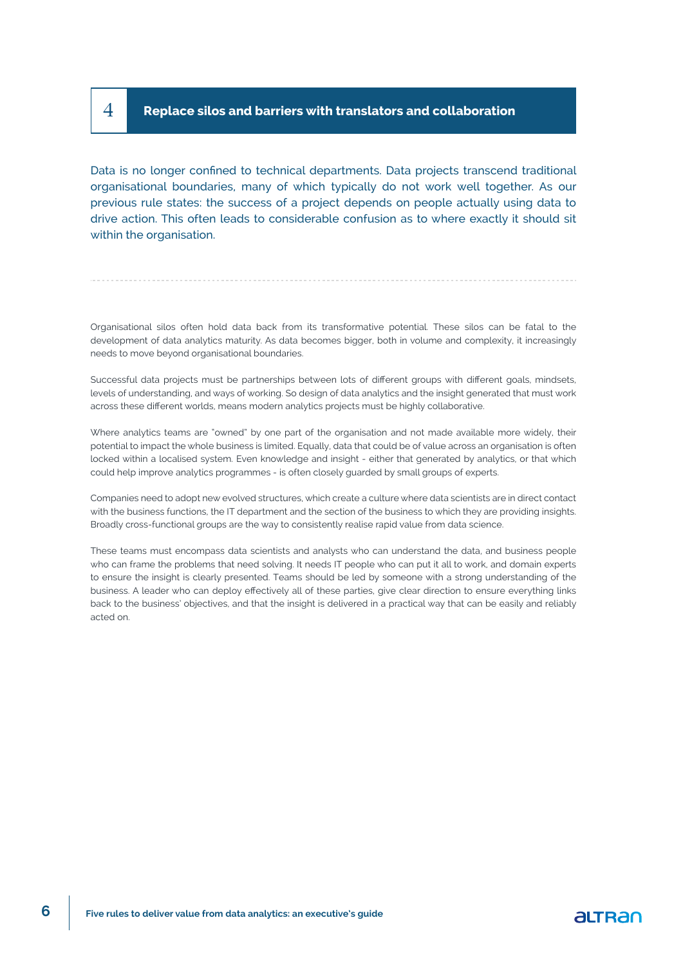### 4 **Replace silos and barriers with translators and collaboration**

Data is no longer confined to technical departments. Data projects transcend traditional organisational boundaries, many of which typically do not work well together. As our previous rule states: the success of a project depends on people actually using data to drive action. This often leads to considerable confusion as to where exactly it should sit within the organisation.

Organisational silos often hold data back from its transformative potential. These silos can be fatal to the development of data analytics maturity. As data becomes bigger, both in volume and complexity, it increasingly needs to move beyond organisational boundaries.

Successful data projects must be partnerships between lots of different groups with different goals, mindsets, levels of understanding, and ways of working. So design of data analytics and the insight generated that must work across these different worlds, means modern analytics projects must be highly collaborative.

Where analytics teams are "owned" by one part of the organisation and not made available more widely, their potential to impact the whole business is limited. Equally, data that could be of value across an organisation is often locked within a localised system. Even knowledge and insight - either that generated by analytics, or that which could help improve analytics programmes - is often closely guarded by small groups of experts.

Companies need to adopt new evolved structures, which create a culture where data scientists are in direct contact with the business functions, the IT department and the section of the business to which they are providing insights. Broadly cross-functional groups are the way to consistently realise rapid value from data science.

These teams must encompass data scientists and analysts who can understand the data, and business people who can frame the problems that need solving. It needs IT people who can put it all to work, and domain experts to ensure the insight is clearly presented. Teams should be led by someone with a strong understanding of the business. A leader who can deploy effectively all of these parties, give clear direction to ensure everything links back to the business' objectives, and that the insight is delivered in a practical way that can be easily and reliably acted on.

### altran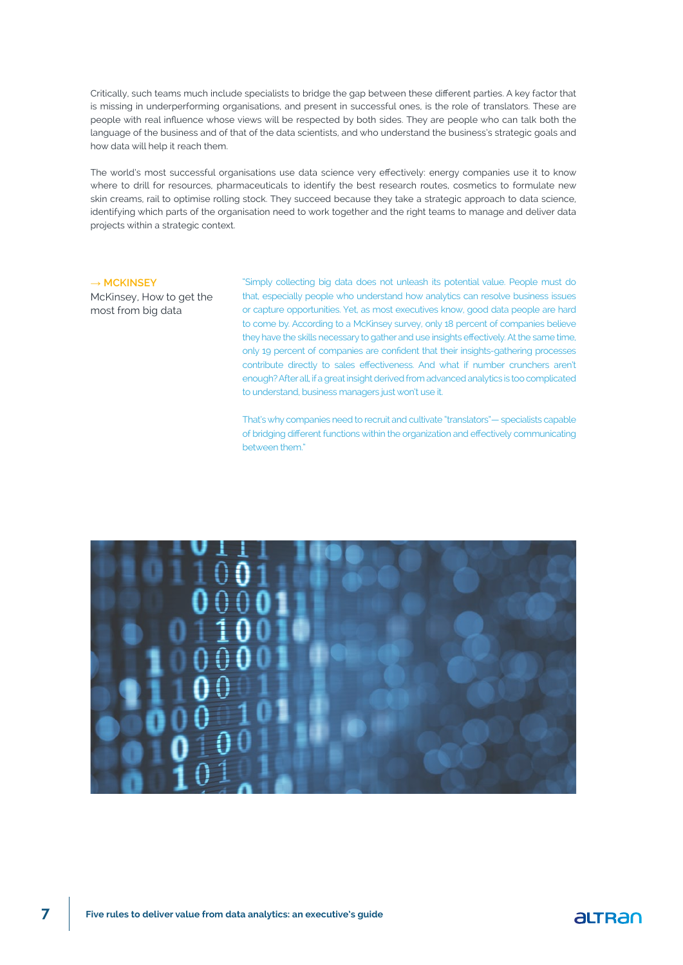Critically, such teams much include specialists to bridge the gap between these different parties. A key factor that is missing in underperforming organisations, and present in successful ones, is the role of translators. These are people with real influence whose views will be respected by both sides. They are people who can talk both the language of the business and of that of the data scientists, and who understand the business's strategic goals and how data will help it reach them.

The world's most successful organisations use data science very effectively: energy companies use it to know where to drill for resources, pharmaceuticals to identify the best research routes, cosmetics to formulate new skin creams, rail to optimise rolling stock. They succeed because they take a strategic approach to data science, identifying which parts of the organisation need to work together and the right teams to manage and deliver data projects within a strategic context.

#### **→ MCKINSEY**

McKinsey, How to get the most from big data

"Simply collecting big data does not unleash its potential value. People must do that, especially people who understand how analytics can resolve business issues or capture opportunities. Yet, as most executives know, good data people are hard to come by. According to a McKinsey survey, only 18 percent of companies believe they have the skills necessary to gather and use insights effectively. At the same time, only 19 percent of companies are confident that their insights-gathering processes contribute directly to sales effectiveness. And what if number crunchers aren't enough? After all, if a great insight derived from advanced analytics is too complicated to understand, business managers just won't use it.

That's why companies need to recruit and cultivate "translators"— specialists capable of bridging different functions within the organization and effectively communicating between them."



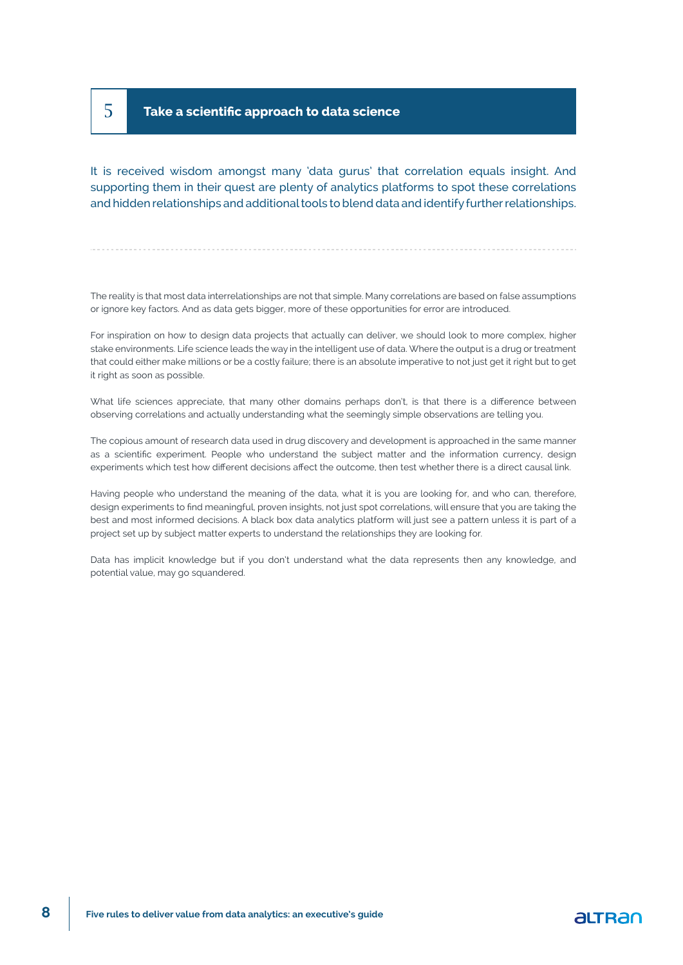## 5 **Take a scientific approach to data science**

It is received wisdom amongst many 'data gurus' that correlation equals insight. And supporting them in their quest are plenty of analytics platforms to spot these correlations and hidden relationships and additional tools to blend data and identify further relationships.

The reality is that most data interrelationships are not that simple. Many correlations are based on false assumptions or ignore key factors. And as data gets bigger, more of these opportunities for error are introduced.

For inspiration on how to design data projects that actually can deliver, we should look to more complex, higher stake environments. Life science leads the way in the intelligent use of data. Where the output is a drug or treatment that could either make millions or be a costly failure; there is an absolute imperative to not just get it right but to get it right as soon as possible.

What life sciences appreciate, that many other domains perhaps don't, is that there is a difference between observing correlations and actually understanding what the seemingly simple observations are telling you.

The copious amount of research data used in drug discovery and development is approached in the same manner as a scientific experiment. People who understand the subject matter and the information currency, design experiments which test how different decisions affect the outcome, then test whether there is a direct causal link.

Having people who understand the meaning of the data, what it is you are looking for, and who can, therefore, design experiments to find meaningful, proven insights, not just spot correlations, will ensure that you are taking the best and most informed decisions. A black box data analytics platform will just see a pattern unless it is part of a project set up by subject matter experts to understand the relationships they are looking for.

Data has implicit knowledge but if you don't understand what the data represents then any knowledge, and potential value, may go squandered.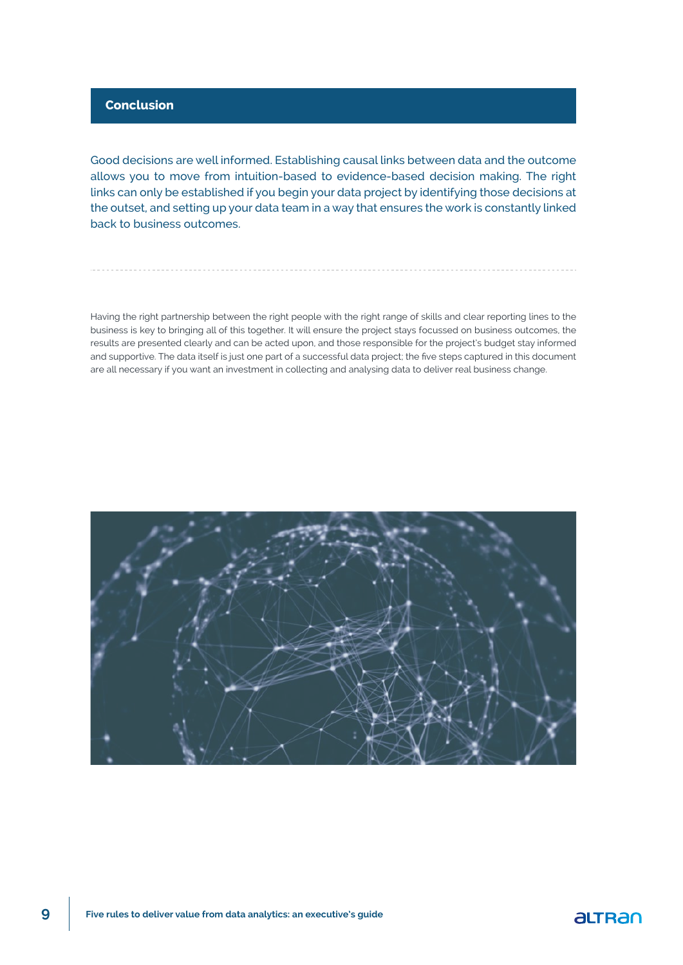#### **Conclusion**

Good decisions are well informed. Establishing causal links between data and the outcome allows you to move from intuition-based to evidence-based decision making. The right links can only be established if you begin your data project by identifying those decisions at the outset, and setting up your data team in a way that ensures the work is constantly linked back to business outcomes.

Having the right partnership between the right people with the right range of skills and clear reporting lines to the business is key to bringing all of this together. It will ensure the project stays focussed on business outcomes, the results are presented clearly and can be acted upon, and those responsible for the project's budget stay informed and supportive. The data itself is just one part of a successful data project; the five steps captured in this document are all necessary if you want an investment in collecting and analysing data to deliver real business change.



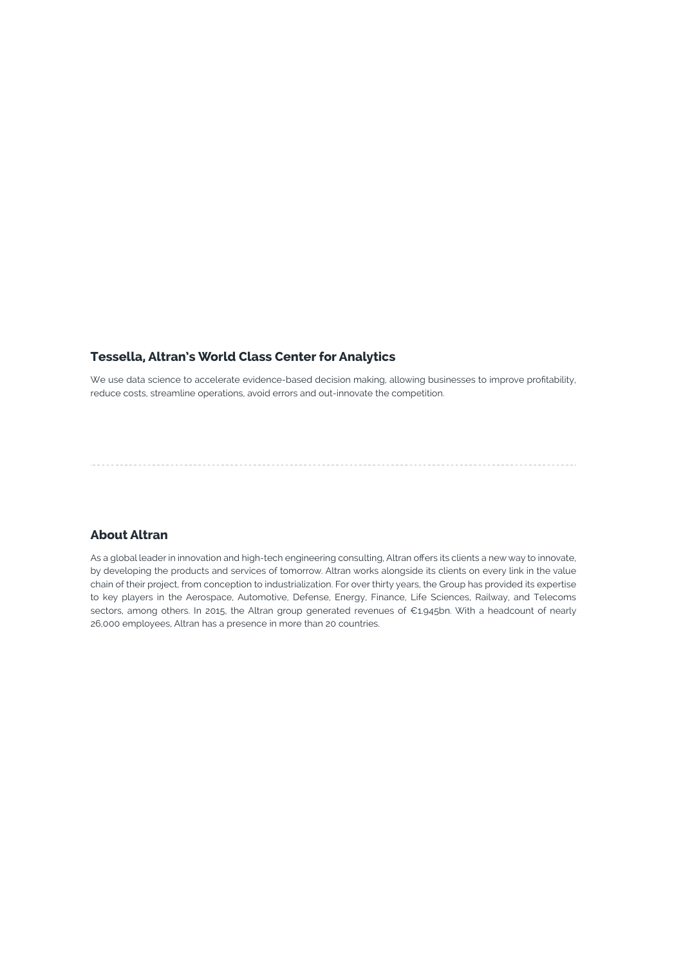#### **Tessella, Altran's World Class Center for Analytics**

We use data science to accelerate evidence-based decision making, allowing businesses to improve profitability, reduce costs, streamline operations, avoid errors and out-innovate the competition.

#### **About Altran**

As a global leader in innovation and high-tech engineering consulting, Altran offers its clients a new way to innovate, by developing the products and services of tomorrow. Altran works alongside its clients on every link in the value chain of their project, from conception to industrialization. For over thirty years, the Group has provided its expertise to key players in the Aerospace, Automotive, Defense, Energy, Finance, Life Sciences, Railway, and Telecoms sectors, among others. In 2015, the Altran group generated revenues of €1.945bn. With a headcount of nearly 26,000 employees, Altran has a presence in more than 20 countries.